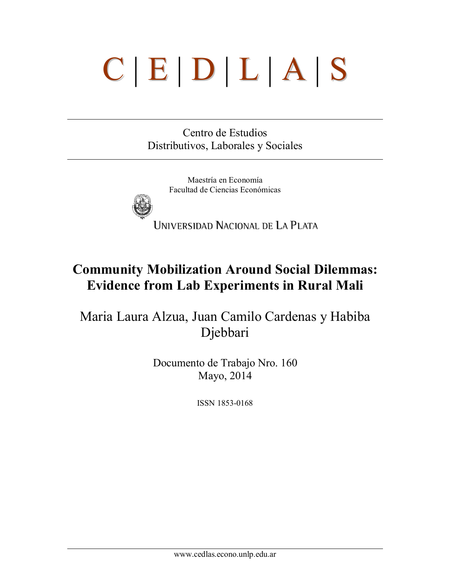# C | E | D | L | A | S

Centro de Estudios Distributivos, Laborales y Sociales

> Maestría en Economía Facultad de Ciencias Económicas



UNIVERSIDAD NACIONAL DE LA PLATA

# Community Mobilization Around Social Dilemmas: Evidence from Lab Experiments in Rural Mali

Maria Laura Alzua, Juan Camilo Cardenas y Habiba Djebbari

> Documento de Trabajo Nro. 160 Mayo, 2014

> > ISSN 1853-0168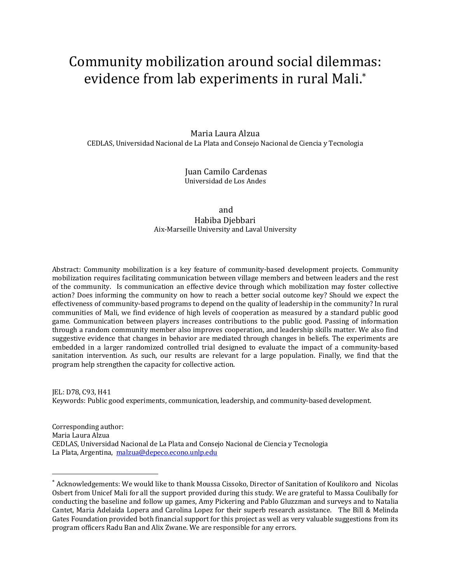# Community mobilization around social dilemmas: evidence from lab experiments in rural Mali.\*

Maria Laura Alzua CEDLAS, Universidad Nacional de La Plata and Consejo Nacional de Ciencia y Tecnologia

> Juan Camilo Cardenas Universidad de Los Andes

#### and Habiba Djebbari Aix-Marseille University and Laval University

Abstract: Community mobilization is a key feature of community-based development projects. Community mobilization requires facilitating communication between village members and between leaders and the rest of the community. Is communication an effective device through which mobilization may foster collective action? Does informing the community on how to reach a better social outcome key? Should we expect the effectiveness of community-based programs to depend on the quality of leadership in the community? In rural communities of Mali, we find evidence of high levels of cooperation as measured by a standard public good game. Communication between players increases contributions to the public good. Passing of information through a random community member also improves cooperation, and leadership skills matter. We also find suggestive evidence that changes in behavior are mediated through changes in beliefs. The experiments are embedded in a larger randomized controlled trial designed to evaluate the impact of a community-based sanitation intervention. As such, our results are relevant for a large population. Finally, we find that the program help strengthen the capacity for collective action.

JEL: D78, C93, H41 Keywords: Public good experiments, communication, leadership, and community-based development.

Corresponding author: Maria Laura Alzua CEDLAS, Universidad Nacional de La Plata and Consejo Nacional de Ciencia y Tecnologia La Plata, Argentina, malzua@depeco.econo.unlp.edu

 <sup>\*</sup> Acknowledgements: We would like to thank Moussa Cissoko, Director of Sanitation of Koulikoro and Nicolas Osbert from Unicef Mali for all the support provided during this study. We are grateful to Massa Coulibally for conducting the baseline and follow up games, Amy Pickering and Pablo Gluzzman and surveys and to Natalia Cantet, Maria Adelaida Lopera and Carolina Lopez for their superb research assistance. The Bill & Melinda Gates Foundation provided both financial support for this project as well as very valuable suggestions from its program officers Radu Ban and Alix Zwane. We are responsible for any errors.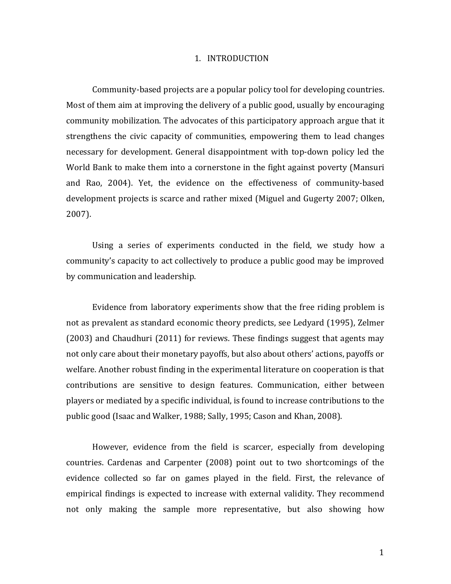#### 1. INTRODUCTION

Community-based projects are a popular policy tool for developing countries. Most of them aim at improving the delivery of a public good, usually by encouraging community mobilization. The advocates of this participatory approach argue that it strengthens the civic capacity of communities, empowering them to lead changes necessary for development. General disappointment with top-down policy led the World Bank to make them into a cornerstone in the fight against poverty (Mansuri and Rao, 2004). Yet, the evidence on the effectiveness of community-based development projects is scarce and rather mixed (Miguel and Gugerty 2007; Olken, 2007).

Using a series of experiments conducted in the field, we study how a community's capacity to act collectively to produce a public good may be improved by communication and leadership.

Evidence from laboratory experiments show that the free riding problem is not as prevalent as standard economic theory predicts, see Ledyard (1995), Zelmer  $(2003)$  and Chaudhuri  $(2011)$  for reviews. These findings suggest that agents may not only care about their monetary payoffs, but also about others' actions, payoffs or welfare. Another robust finding in the experimental literature on cooperation is that contributions are sensitive to design features. Communication, either between players or mediated by a specific individual, is found to increase contributions to the public good (Isaac and Walker, 1988; Sally, 1995; Cason and Khan, 2008).

However, evidence from the field is scarcer, especially from developing countries. Cardenas and Carpenter (2008) point out to two shortcomings of the evidence collected so far on games played in the field. First, the relevance of empirical findings is expected to increase with external validity. They recommend not only making the sample more representative, but also showing how

1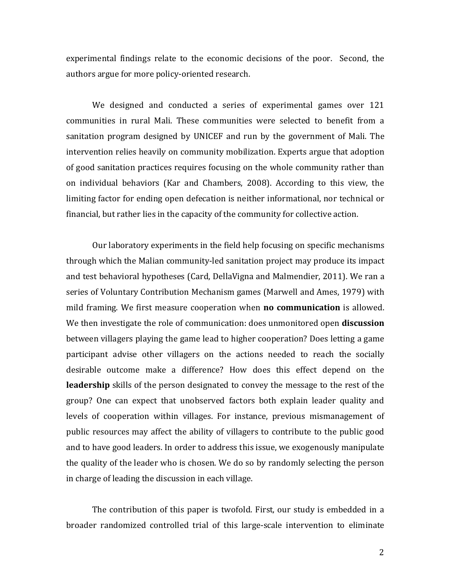experimental findings relate to the economic decisions of the poor. Second, the authors argue for more policy-oriented research.

We designed and conducted a series of experimental games over 121 communities in rural Mali. These communities were selected to benefit from a sanitation program designed by UNICEF and run by the government of Mali. The intervention relies heavily on community mobilization. Experts argue that adoption of good sanitation practices requires focusing on the whole community rather than on individual behaviors (Kar and Chambers, 2008). According to this view, the limiting factor for ending open defecation is neither informational, nor technical or financial, but rather lies in the capacity of the community for collective action.

Our laboratory experiments in the field help focusing on specific mechanisms through which the Malian community-led sanitation project may produce its impact and test behavioral hypotheses (Card, DellaVigna and Malmendier, 2011). We ran a series of Voluntary Contribution Mechanism games (Marwell and Ames, 1979) with mild framing. We first measure cooperation when **no communication** is allowed. We then investigate the role of communication: does unmonitored open **discussion** between villagers playing the game lead to higher cooperation? Does letting a game participant advise other villagers on the actions needed to reach the socially desirable outcome make a difference? How does this effect depend on the **leadership** skills of the person designated to convey the message to the rest of the group? One can expect that unobserved factors both explain leader quality and levels of cooperation within villages. For instance, previous mismanagement of public resources may affect the ability of villagers to contribute to the public good and to have good leaders. In order to address this issue, we exogenously manipulate the quality of the leader who is chosen. We do so by randomly selecting the person in charge of leading the discussion in each village.

The contribution of this paper is twofold. First, our study is embedded in a broader randomized controlled trial of this large-scale intervention to eliminate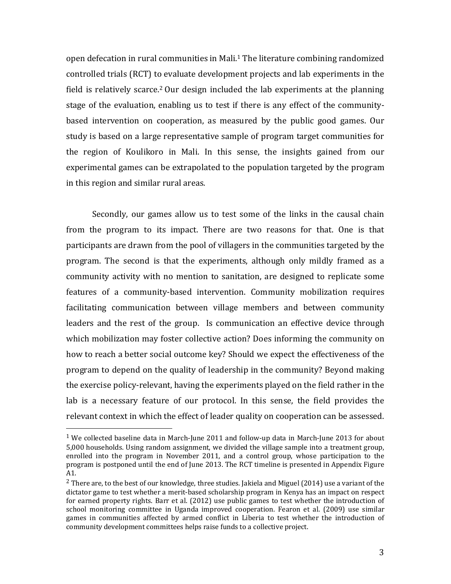open defecation in rural communities in Mali.<sup>1</sup> The literature combining randomized controlled trials (RCT) to evaluate development projects and lab experiments in the field is relatively scarce.<sup>2</sup> Our design included the lab experiments at the planning stage of the evaluation, enabling us to test if there is any effect of the communitybased intervention on cooperation, as measured by the public good games. Our study is based on a large representative sample of program target communities for the region of Koulikoro in Mali. In this sense, the insights gained from our experimental games can be extrapolated to the population targeted by the program in this region and similar rural areas.

Secondly, our games allow us to test some of the links in the causal chain from the program to its impact. There are two reasons for that. One is that participants are drawn from the pool of villagers in the communities targeted by the program. The second is that the experiments, although only mildly framed as a community activity with no mention to sanitation, are designed to replicate some features of a community-based intervention. Community mobilization requires facilitating communication between village members and between community leaders and the rest of the group. Is communication an effective device through which mobilization may foster collective action? Does informing the community on how to reach a better social outcome key? Should we expect the effectiveness of the program to depend on the quality of leadership in the community? Beyond making the exercise policy-relevant, having the experiments played on the field rather in the lab is a necessary feature of our protocol. In this sense, the field provides the relevant context in which the effect of leader quality on cooperation can be assessed.

 

<sup>&</sup>lt;sup>1</sup> We collected baseline data in March-June 2011 and follow-up data in March-June 2013 for about 5,000 households. Using random assignment, we divided the village sample into a treatment group, enrolled into the program in November 2011, and a control group, whose participation to the program is postponed until the end of June 2013. The RCT timeline is presented in Appendix Figure A1.

<sup>&</sup>lt;sup>2</sup> There are, to the best of our knowledge, three studies. Jakiela and Miguel (2014) use a variant of the dictator game to test whether a merit-based scholarship program in Kenya has an impact on respect for earned property rights. Barr et al.  $(2012)$  use public games to test whether the introduction of school monitoring committee in Uganda improved cooperation. Fearon et al. (2009) use similar games in communities affected by armed conflict in Liberia to test whether the introduction of community development committees helps raise funds to a collective project.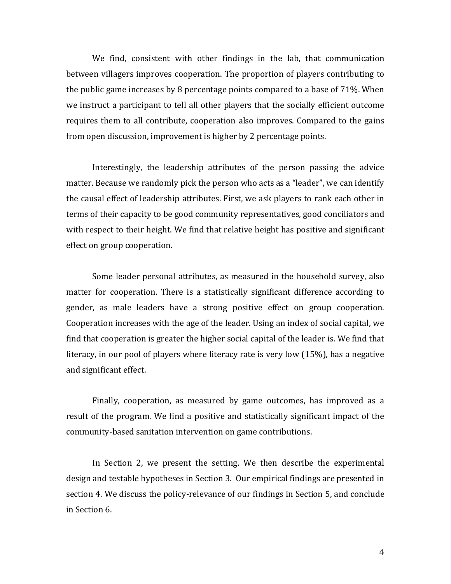We find, consistent with other findings in the lab, that communication between villagers improves cooperation. The proportion of players contributing to the public game increases by 8 percentage points compared to a base of 71%. When we instruct a participant to tell all other players that the socially efficient outcome requires them to all contribute, cooperation also improves. Compared to the gains from open discussion, improvement is higher by 2 percentage points.

Interestingly, the leadership attributes of the person passing the advice matter. Because we randomly pick the person who acts as a "leader", we can identify the causal effect of leadership attributes. First, we ask players to rank each other in terms of their capacity to be good community representatives, good conciliators and with respect to their height. We find that relative height has positive and significant effect on group cooperation.

Some leader personal attributes, as measured in the household survey, also matter for cooperation. There is a statistically significant difference according to gender, as male leaders have a strong positive effect on group cooperation. Cooperation increases with the age of the leader. Using an index of social capital, we find that cooperation is greater the higher social capital of the leader is. We find that literacy, in our pool of players where literacy rate is very low  $(15%)$ , has a negative and significant effect.

Finally, cooperation, as measured by game outcomes, has improved as a result of the program. We find a positive and statistically significant impact of the community-based sanitation intervention on game contributions.

In Section 2, we present the setting. We then describe the experimental design and testable hypotheses in Section 3. Our empirical findings are presented in section 4. We discuss the policy-relevance of our findings in Section 5, and conclude in Section 6.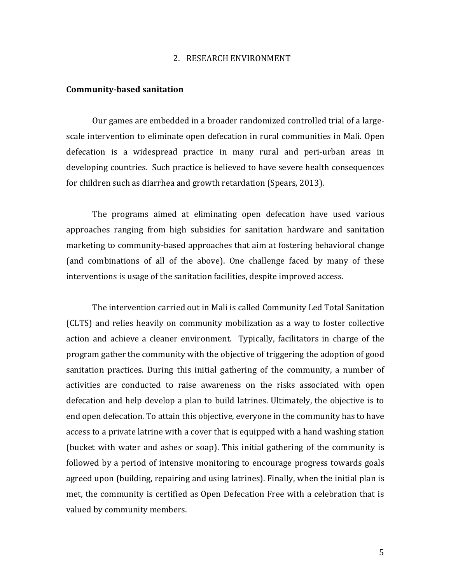#### 2. RESEARCH ENVIRONMENT

#### **Community-based sanitation**

Our games are embedded in a broader randomized controlled trial of a largescale intervention to eliminate open defecation in rural communities in Mali. Open defecation is a widespread practice in many rural and peri-urban areas in developing countries. Such practice is believed to have severe health consequences for children such as diarrhea and growth retardation (Spears, 2013).

The programs aimed at eliminating open defecation have used various approaches ranging from high subsidies for sanitation hardware and sanitation marketing to community-based approaches that aim at fostering behavioral change (and combinations of all of the above). One challenge faced by many of these interventions is usage of the sanitation facilities, despite improved access.

The intervention carried out in Mali is called Community Led Total Sanitation (CLTS) and relies heavily on community mobilization as a way to foster collective action and achieve a cleaner environment. Typically, facilitators in charge of the program gather the community with the objective of triggering the adoption of good sanitation practices. During this initial gathering of the community, a number of activities are conducted to raise awareness on the risks associated with open defecation and help develop a plan to build latrines. Ultimately, the objective is to end open defecation. To attain this objective, everyone in the community has to have access to a private latrine with a cover that is equipped with a hand washing station (bucket with water and ashes or soap). This initial gathering of the community is followed by a period of intensive monitoring to encourage progress towards goals agreed upon (building, repairing and using latrines). Finally, when the initial plan is met, the community is certified as Open Defecation Free with a celebration that is valued by community members.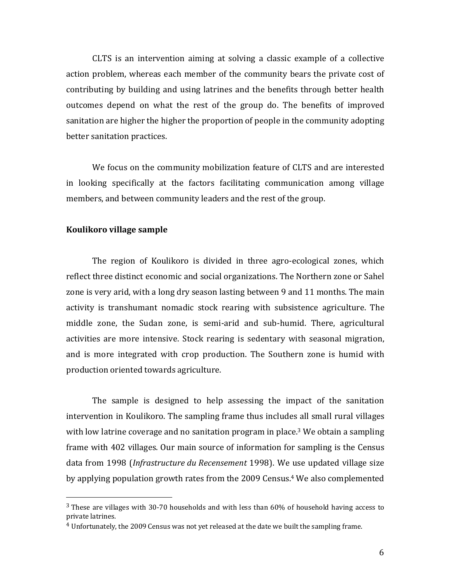CLTS is an intervention aiming at solving a classic example of a collective action problem, whereas each member of the community bears the private cost of contributing by building and using latrines and the benefits through better health outcomes depend on what the rest of the group do. The benefits of improved sanitation are higher the higher the proportion of people in the community adopting better sanitation practices.

We focus on the community mobilization feature of CLTS and are interested in looking specifically at the factors facilitating communication among village members, and between community leaders and the rest of the group.

#### **Koulikoro** village sample

 

The region of Koulikoro is divided in three agro-ecological zones, which reflect three distinct economic and social organizations. The Northern zone or Sahel zone is very arid, with a long dry season lasting between 9 and 11 months. The main activity is transhumant nomadic stock rearing with subsistence agriculture. The middle zone, the Sudan zone, is semi-arid and sub-humid. There, agricultural activities are more intensive. Stock rearing is sedentary with seasonal migration, and is more integrated with crop production. The Southern zone is humid with production oriented towards agriculture.

The sample is designed to help assessing the impact of the sanitation intervention in Koulikoro. The sampling frame thus includes all small rural villages with low latrine coverage and no sanitation program in place.<sup>3</sup> We obtain a sampling frame with 402 villages. Our main source of information for sampling is the Census data from 1998 (*Infrastructure du Recensement* 1998). We use updated village size by applying population growth rates from the 2009 Census.<sup>4</sup> We also complemented

 $3$  These are villages with 30-70 households and with less than  $60\%$  of household having access to private latrines.

 $4$  Unfortunately, the 2009 Census was not yet released at the date we built the sampling frame.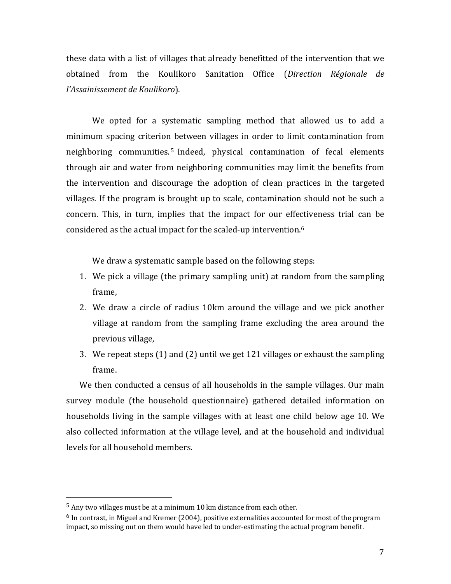these data with a list of villages that already benefitted of the intervention that we obtained from the Koulikoro Sanitation Office (*Direction Régionale de l'Assainissement de Koulikoro*).

We opted for a systematic sampling method that allowed us to add a minimum spacing criterion between villages in order to limit contamination from neighboring communities.<sup>5</sup> Indeed, physical contamination of fecal elements through air and water from neighboring communities may limit the benefits from the intervention and discourage the adoption of clean practices in the targeted villages. If the program is brought up to scale, contamination should not be such a concern. This, in turn, implies that the impact for our effectiveness trial can be considered as the actual impact for the scaled-up intervention.<sup>6</sup>

We draw a systematic sample based on the following steps:

- 1. We pick a village (the primary sampling unit) at random from the sampling frame,
- 2. We draw a circle of radius 10km around the village and we pick another village at random from the sampling frame excluding the area around the previous village,
- 3. We repeat steps  $(1)$  and  $(2)$  until we get 121 villages or exhaust the sampling frame.

We then conducted a census of all households in the sample villages. Our main survey module (the household questionnaire) gathered detailed information on households living in the sample villages with at least one child below age 10. We also collected information at the village level, and at the household and individual levels for all household members.

 

 $5$  Any two villages must be at a minimum 10 km distance from each other.

 $^6$  In contrast, in Miguel and Kremer (2004), positive externalities accounted for most of the program impact, so missing out on them would have led to under-estimating the actual program benefit.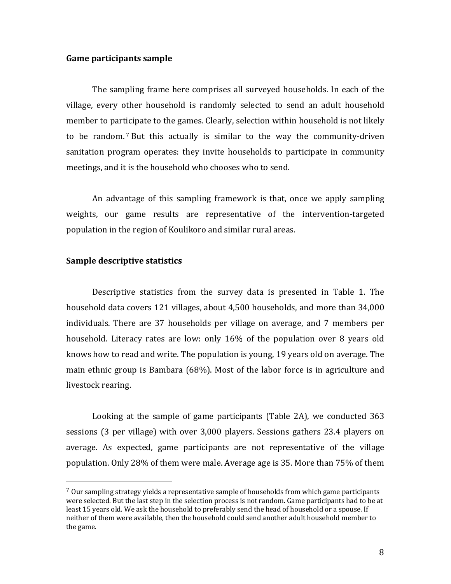#### **Game participants sample**

The sampling frame here comprises all surveyed households. In each of the village, every other household is randomly selected to send an adult household member to participate to the games. Clearly, selection within household is not likely to be random.<sup>7</sup> But this actually is similar to the way the community-driven sanitation program operates: they invite households to participate in community meetings, and it is the household who chooses who to send.

An advantage of this sampling framework is that, once we apply sampling weights, our game results are representative of the intervention-targeted population in the region of Koulikoro and similar rural areas.

#### **Sample descriptive statistics**

 

Descriptive statistics from the survey data is presented in Table 1. The household data covers 121 villages, about 4,500 households, and more than 34,000 individuals. There are 37 households per village on average, and 7 members per household. Literacy rates are low: only 16% of the population over 8 years old knows how to read and write. The population is young, 19 years old on average. The main ethnic group is Bambara  $(68%)$ . Most of the labor force is in agriculture and livestock rearing.

Looking at the sample of game participants (Table 2A), we conducted  $363$ sessions (3 per village) with over 3,000 players. Sessions gathers 23.4 players on average. As expected, game participants are not representative of the village population. Only 28% of them were male. Average age is 35. More than 75% of them

 $7$  Our sampling strategy yields a representative sample of households from which game participants were selected. But the last step in the selection process is not random. Game participants had to be at least 15 years old. We ask the household to preferably send the head of household or a spouse. If neither of them were available, then the household could send another adult household member to the game.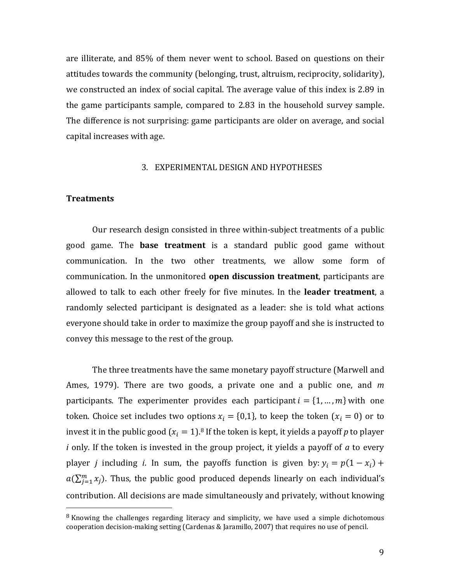are illiterate, and 85% of them never went to school. Based on questions on their attitudes towards the community (belonging, trust, altruism, reciprocity, solidarity), we constructed an index of social capital. The average value of this index is 2.89 in the game participants sample, compared to 2.83 in the household survey sample. The difference is not surprising: game participants are older on average, and social capital increases with age.

#### 3. EXPERIMENTAL DESIGN AND HYPOTHESES

#### **Treatments**

 

Our research design consisted in three within-subject treatments of a public good game. The **base treatment** is a standard public good game without communication. In the two other treatments, we allow some form of communication. In the unmonitored **open discussion treatment**, participants are allowed to talk to each other freely for five minutes. In the leader treatment, a randomly selected participant is designated as a leader: she is told what actions everyone should take in order to maximize the group payoff and she is instructed to convey this message to the rest of the group.

The three treatments have the same monetary payoff structure (Marwell and Ames, 1979). There are two goods, a private one and a public one, and *m* participants. The experimenter provides each participant  $i = \{1, ..., m\}$  with one token. Choice set includes two options  $x_i = \{0,1\}$ , to keep the token  $(x_i = 0)$  or to invest it in the public good  $(x_i = 1)$ .<sup>8</sup> If the token is kept, it yields a payoff *p* to player *i* only. If the token is invested in the group project, it yields a payoff of *a* to every player *j* including *i*. In sum, the payoffs function is given by:  $y_i = p(1 - x_i) +$  $a(\sum_{j=1}^m x_j)$ . Thus, the public good produced depends linearly on each individual's contribution. All decisions are made simultaneously and privately, without knowing

 $8$  Knowing the challenges regarding literacy and simplicity, we have used a simple dichotomous cooperation decision-making setting (Cardenas & Jaramillo, 2007) that requires no use of pencil.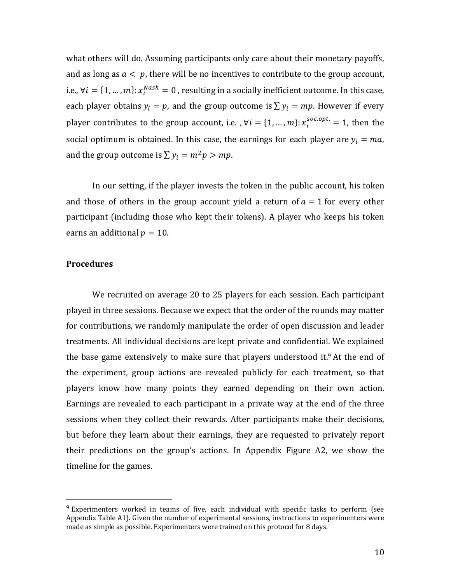what others will do. Assuming participants only care about their monetary payoffs, and as long as  $a < p$ , there will be no incentives to contribute to the group account, i.e.,  $\forall i = \{1,...,m\}$ :  $x_i^{Nash} = 0$  , resulting in a socially inefficient outcome. In this case, each player obtains  $y_i = p$ , and the group outcome is  $\sum y_i = mp$ . However if every player contributes to the group account, i.e. ,  $\forall i = \{1,...,m\}$ :  $x_i^{soc. opt.} = 1$ , then the social optimum is obtained. In this case, the earnings for each player are  $y_i = ma$ , and the group outcome is  $\sum y_i = m^2 p > mp$ .

In our setting, if the player invests the token in the public account, his token and those of others in the group account yield a return of  $a = 1$  for every other participant (including those who kept their tokens). A player who keeps his token earns an additional  $p = 10$ .

#### **Procedures**

 

We recruited on average 20 to 25 players for each session. Each participant played in three sessions. Because we expect that the order of the rounds may matter for contributions, we randomly manipulate the order of open discussion and leader treatments. All individual decisions are kept private and confidential. We explained the base game extensively to make sure that players understood it.<sup>9</sup> At the end of the experiment, group actions are revealed publicly for each treatment, so that players know how many points they earned depending on their own action. Earnings are revealed to each participant in a private way at the end of the three sessions when they collect their rewards. After participants make their decisions, but before they learn about their earnings, they are requested to privately report their predictions on the group's actions. In Appendix Figure A2, we show the timeline for the games.

 $9$  Experimenters worked in teams of five, each individual with specific tasks to perform (see Appendix Table A1). Given the number of experimental sessions, instructions to experimenters were made as simple as possible. Experimenters were trained on this protocol for 8 days.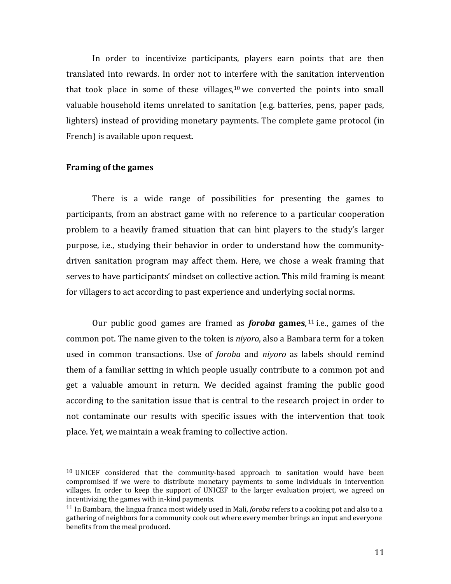In order to incentivize participants, players earn points that are then translated into rewards. In order not to interfere with the sanitation intervention that took place in some of these villages,<sup>10</sup> we converted the points into small valuable household items unrelated to sanitation (e.g. batteries, pens, paper pads, lighters) instead of providing monetary payments. The complete game protocol (in French) is available upon request.

#### **Framing of the games**

 

There is a wide range of possibilities for presenting the games to participants, from an abstract game with no reference to a particular cooperation problem to a heavily framed situation that can hint players to the study's larger purpose, *i.e.*, studying their behavior in order to understand how the communitydriven sanitation program may affect them. Here, we chose a weak framing that serves to have participants' mindset on collective action. This mild framing is meant for villagers to act according to past experience and underlying social norms.

Our public good games are framed as *foroba* games,  $11$  i.e., games of the common pot. The name given to the token is *niyoro*, also a Bambara term for a token used in common transactions. Use of *foroba* and *niyoro* as labels should remind them of a familiar setting in which people usually contribute to a common pot and get a valuable amount in return. We decided against framing the public good according to the sanitation issue that is central to the research project in order to not contaminate our results with specific issues with the intervention that took place. Yet, we maintain a weak framing to collective action.

 $10$  UNICEF considered that the community-based approach to sanitation would have been compromised if we were to distribute monetary payments to some individuals in intervention villages. In order to keep the support of UNICEF to the larger evaluation project, we agreed on incentivizing the games with in-kind payments.

 $11$  In Bambara, the lingua franca most widely used in Mali, *foroba* refers to a cooking pot and also to a gathering of neighbors for a community cook out where every member brings an input and everyone benefits from the meal produced.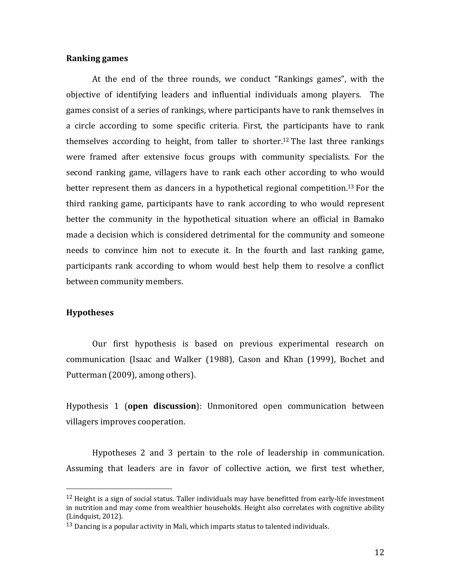#### **Ranking games**

At the end of the three rounds, we conduct "Rankings games", with the objective of identifying leaders and influential individuals among players. The games consist of a series of rankings, where participants have to rank themselves in a circle according to some specific criteria. First, the participants have to rank themselves according to height, from taller to shorter.<sup>12</sup> The last three rankings were framed after extensive focus groups with community specialists. For the second ranking game, villagers have to rank each other according to who would better represent them as dancers in a hypothetical regional competition.<sup>13</sup> For the third ranking game, participants have to rank according to who would represent better the community in the hypothetical situation where an official in Bamako made a decision which is considered detrimental for the community and someone needs to convince him not to execute it. In the fourth and last ranking game, participants rank according to whom would best help them to resolve a conflict between community members.

#### **Hypotheses**

 

Our first hypothesis is based on previous experimental research on communication (Isaac and Walker (1988), Cason and Khan (1999), Bochet and Putterman (2009), among others).

Hypothesis 1 (open discussion): Unmonitored open communication between villagers improves cooperation.

Hypotheses 2 and 3 pertain to the role of leadership in communication. Assuming that leaders are in favor of collective action, we first test whether,

 $12$  Height is a sign of social status. Taller individuals may have benefitted from early-life investment in nutrition and may come from wealthier households. Height also correlates with cognitive ability (Lindquist, 2012).

 $13$  Dancing is a popular activity in Mali, which imparts status to talented individuals.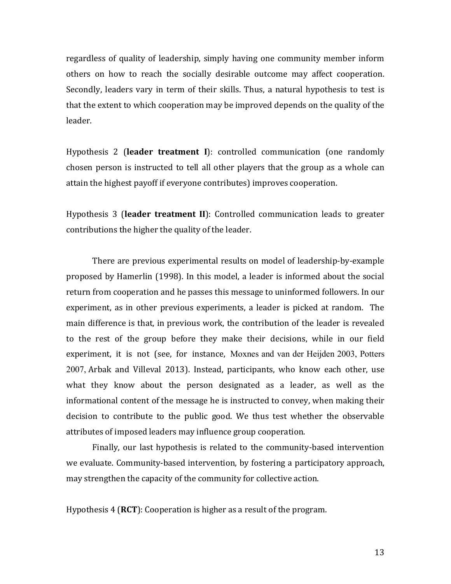regardless of quality of leadership, simply having one community member inform others on how to reach the socially desirable outcome may affect cooperation. Secondly, leaders vary in term of their skills. Thus, a natural hypothesis to test is that the extent to which cooperation may be improved depends on the quality of the leader. 

Hypothesis 2 (leader treatment I): controlled communication (one randomly chosen person is instructed to tell all other players that the group as a whole can attain the highest payoff if everyone contributes) improves cooperation.

Hypothesis 3 (leader treatment II): Controlled communication leads to greater contributions the higher the quality of the leader.

There are previous experimental results on model of leadership-by-example proposed by Hamerlin (1998). In this model, a leader is informed about the social return from cooperation and he passes this message to uninformed followers. In our experiment, as in other previous experiments, a leader is picked at random. The main difference is that, in previous work, the contribution of the leader is revealed to the rest of the group before they make their decisions, while in our field experiment, it is not (see, for instance, Moxnes and van der Heijden 2003, Potters 2007, Arbak and Villeval 2013). Instead, participants, who know each other, use what they know about the person designated as a leader, as well as the informational content of the message he is instructed to convey, when making their decision to contribute to the public good. We thus test whether the observable attributes of imposed leaders may influence group cooperation.

Finally, our last hypothesis is related to the community-based intervention we evaluate. Community-based intervention, by fostering a participatory approach, may strengthen the capacity of the community for collective action.

Hypothesis 4 (**RCT**): Cooperation is higher as a result of the program.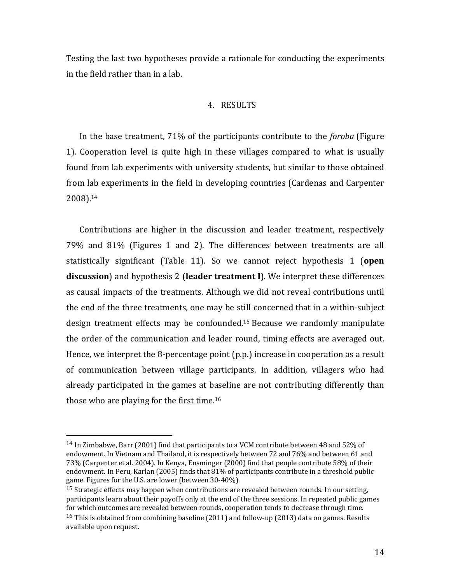Testing the last two hypotheses provide a rationale for conducting the experiments in the field rather than in a lab.

#### 4. RESULTS

In the base treatment, 71% of the participants contribute to the *foroba* (Figure 1). Cooperation level is quite high in these villages compared to what is usually found from lab experiments with university students, but similar to those obtained from lab experiments in the field in developing countries (Cardenas and Carpenter 2008). 14

Contributions are higher in the discussion and leader treatment, respectively 79% and 81% (Figures 1 and 2). The differences between treatments are all statistically significant (Table 11). So we cannot reject hypothesis 1 (**open**) **discussion**) and hypothesis 2 (leader treatment I). We interpret these differences as causal impacts of the treatments. Although we did not reveal contributions until the end of the three treatments, one may be still concerned that in a within-subject design treatment effects may be confounded.<sup>15</sup> Because we randomly manipulate the order of the communication and leader round, timing effects are averaged out. Hence, we interpret the 8-percentage point  $(p.p.)$  increase in cooperation as a result of communication between village participants. In addition, villagers who had already participated in the games at baseline are not contributing differently than those who are playing for the first time.<sup>16</sup>

 

 $14$  In Zimbabwe, Barr (2001) find that participants to a VCM contribute between 48 and 52% of endowment. In Vietnam and Thailand, it is respectively between 72 and 76% and between 61 and 73% (Carpenter et al. 2004). In Kenya, Ensminger (2000) find that people contribute 58% of their endowment. In Peru, Karlan (2005) finds that  $81\%$  of participants contribute in a threshold public game. Figures for the U.S. are lower (between  $30-40\%$ ).

<sup>&</sup>lt;sup>15</sup> Strategic effects may happen when contributions are revealed between rounds. In our setting, participants learn about their payoffs only at the end of the three sessions. In repeated public games for which outcomes are revealed between rounds, cooperation tends to decrease through time. <sup>16</sup> This is obtained from combining baseline (2011) and follow-up (2013) data on games. Results available upon request.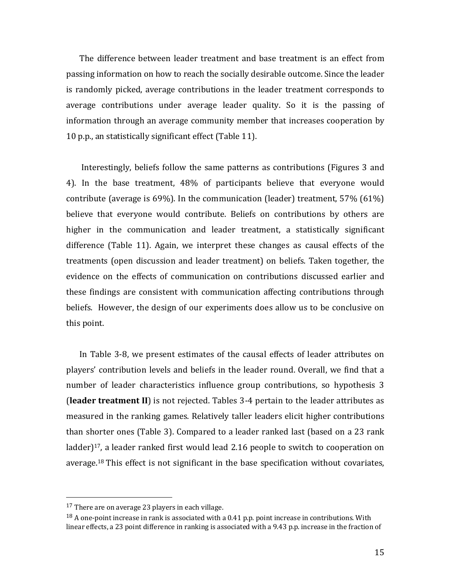The difference between leader treatment and base treatment is an effect from passing information on how to reach the socially desirable outcome. Since the leader is randomly picked, average contributions in the leader treatment corresponds to average contributions under average leader quality. So it is the passing of information through an average community member that increases cooperation by 10 p.p., an statistically significant effect (Table 11).

Interestingly, beliefs follow the same patterns as contributions (Figures 3 and 4). In the base treatment, 48% of participants believe that everyone would contribute (average is  $69\%$ ). In the communication (leader) treatment,  $57\%$  ( $61\%$ ) believe that everyone would contribute. Beliefs on contributions by others are higher in the communication and leader treatment, a statistically significant difference (Table 11). Again, we interpret these changes as causal effects of the treatments (open discussion and leader treatment) on beliefs. Taken together, the evidence on the effects of communication on contributions discussed earlier and these findings are consistent with communication affecting contributions through beliefs. However, the design of our experiments does allow us to be conclusive on this point.

In Table 3-8, we present estimates of the causal effects of leader attributes on players' contribution levels and beliefs in the leader round. Overall, we find that a number of leader characteristics influence group contributions, so hypothesis 3 **(leader treatment II)** is not rejected. Tables 3-4 pertain to the leader attributes as measured in the ranking games. Relatively taller leaders elicit higher contributions than shorter ones (Table 3). Compared to a leader ranked last (based on a 23 rank ladder $]$ <sup>17</sup>, a leader ranked first would lead 2.16 people to switch to cooperation on average.<sup>18</sup> This effect is not significant in the base specification without covariates,

 

 $17$  There are on average 23 players in each village.

 $^{18}$  A one-point increase in rank is associated with a 0.41 p.p. point increase in contributions. With linear effects, a 23 point difference in ranking is associated with a 9.43 p.p. increase in the fraction of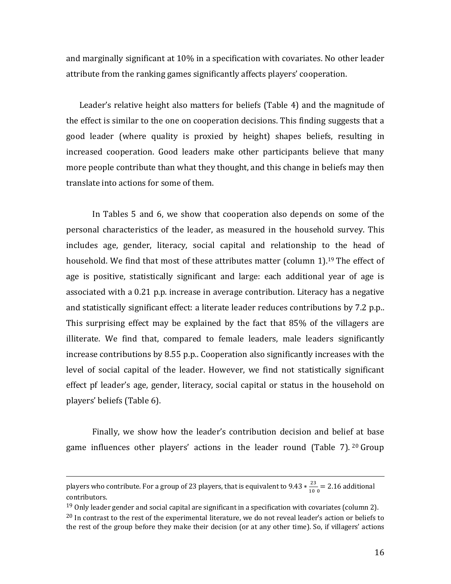and marginally significant at  $10\%$  in a specification with covariates. No other leader attribute from the ranking games significantly affects players' cooperation.

Leader's relative height also matters for beliefs (Table 4) and the magnitude of the effect is similar to the one on cooperation decisions. This finding suggests that a good leader (where quality is proxied by height) shapes beliefs, resulting in increased cooperation. Good leaders make other participants believe that many more people contribute than what they thought, and this change in beliefs may then translate into actions for some of them.

In Tables 5 and 6, we show that cooperation also depends on some of the personal characteristics of the leader, as measured in the household survey. This includes age, gender, literacy, social capital and relationship to the head of household. We find that most of these attributes matter (column 1).<sup>19</sup> The effect of age is positive, statistically significant and large: each additional year of age is associated with a 0.21 p.p. increase in average contribution. Literacy has a negative and statistically significant effect: a literate leader reduces contributions by 7.2 p.p.. This surprising effect may be explained by the fact that 85% of the villagers are illiterate. We find that, compared to female leaders, male leaders significantly increase contributions by 8.55 p.p.. Cooperation also significantly increases with the level of social capital of the leader. However, we find not statistically significant effect pf leader's age, gender, literacy, social capital or status in the household on players' beliefs (Table 6).

Finally, we show how the leader's contribution decision and belief at base game influences other players' actions in the leader round (Table 7).  $20$  Group

<u> 1989 - Andrea San Andrew Maria (h. 1989).</u><br>1900 - Andrew Maria (h. 1980).

players who contribute. For a group of 23 players, that is equivalent to  $9.43 * \frac{23}{100} = 2.16$  additional contributors. 

<sup>&</sup>lt;sup>19</sup> Only leader gender and social capital are significant in a specification with covariates (column 2).

 $^{20}$  In contrast to the rest of the experimental literature, we do not reveal leader's action or beliefs to the rest of the group before they make their decision (or at any other time). So, if villagers' actions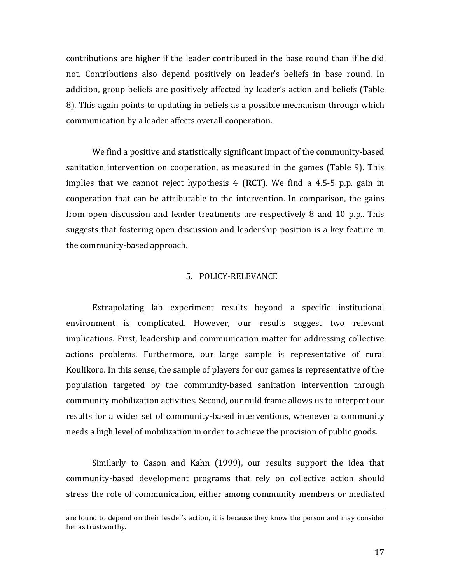contributions are higher if the leader contributed in the base round than if he did not. Contributions also depend positively on leader's beliefs in base round. In addition, group beliefs are positively affected by leader's action and beliefs (Table 8). This again points to updating in beliefs as a possible mechanism through which communication by a leader affects overall cooperation.

We find a positive and statistically significant impact of the community-based sanitation intervention on cooperation, as measured in the games (Table 9). This implies that we cannot reject hypothesis  $4$  (**RCT**). We find a 4.5-5 p.p. gain in cooperation that can be attributable to the intervention. In comparison, the gains from open discussion and leader treatments are respectively 8 and 10 p.p.. This suggests that fostering open discussion and leadership position is a key feature in the community-based approach.

#### 5. POLICY-RELEVANCE

Extrapolating lab experiment results beyond a specific institutional environment is complicated. However, our results suggest two relevant implications. First, leadership and communication matter for addressing collective actions problems. Furthermore, our large sample is representative of rural Koulikoro. In this sense, the sample of players for our games is representative of the population targeted by the community-based sanitation intervention through community mobilization activities. Second, our mild frame allows us to interpret our results for a wider set of community-based interventions, whenever a community needs a high level of mobilization in order to achieve the provision of public goods.

Similarly to Cason and Kahn (1999), our results support the idea that community-based development programs that rely on collective action should stress the role of communication, either among community members or mediated

<sup>&</sup>lt;u> 1989 - Johann Stoff, fransk politik (d. 1989)</u> are found to depend on their leader's action, it is because they know the person and may consider her as trustworthy.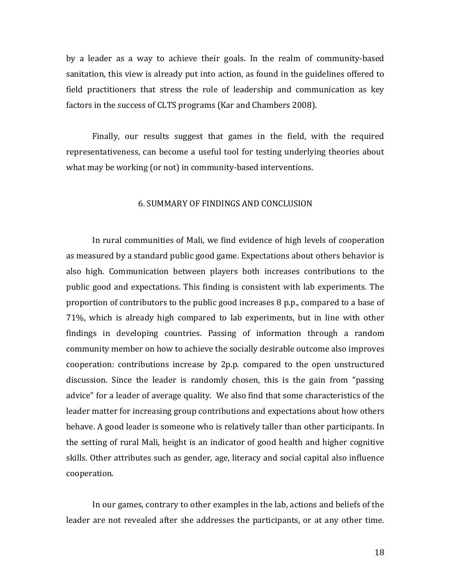by a leader as a way to achieve their goals. In the realm of community-based sanitation, this view is already put into action, as found in the guidelines offered to field practitioners that stress the role of leadership and communication as key factors in the success of CLTS programs (Kar and Chambers 2008).

Finally, our results suggest that games in the field, with the required representativeness, can become a useful tool for testing underlying theories about what may be working (or not) in community-based interventions.

#### 6. SUMMARY OF FINDINGS AND CONCLUSION

In rural communities of Mali, we find evidence of high levels of cooperation as measured by a standard public good game. Expectations about others behavior is also high. Communication between players both increases contributions to the public good and expectations. This finding is consistent with lab experiments. The proportion of contributors to the public good increases  $8$  p.p., compared to a base of 71%, which is already high compared to lab experiments, but in line with other findings in developing countries. Passing of information through a random community member on how to achieve the socially desirable outcome also improves cooperation: contributions increase by 2p.p. compared to the open unstructured discussion. Since the leader is randomly chosen, this is the gain from "passing advice" for a leader of average quality. We also find that some characteristics of the leader matter for increasing group contributions and expectations about how others behave. A good leader is someone who is relatively taller than other participants. In the setting of rural Mali, height is an indicator of good health and higher cognitive skills. Other attributes such as gender, age, literacy and social capital also influence cooperation.

In our games, contrary to other examples in the lab, actions and beliefs of the leader are not revealed after she addresses the participants, or at any other time.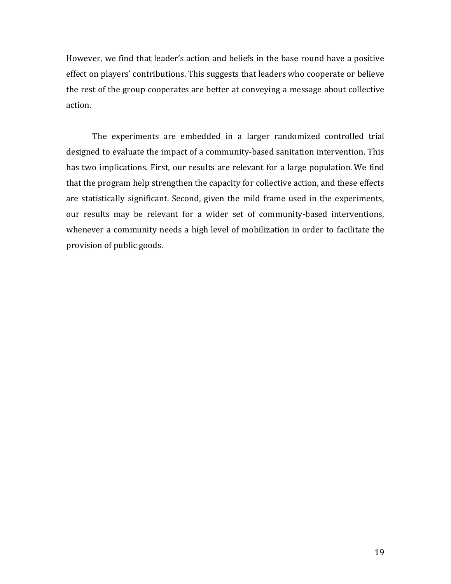However, we find that leader's action and beliefs in the base round have a positive effect on players' contributions. This suggests that leaders who cooperate or believe the rest of the group cooperates are better at conveying a message about collective action.

The experiments are embedded in a larger randomized controlled trial designed to evaluate the impact of a community-based sanitation intervention. This has two implications. First, our results are relevant for a large population. We find that the program help strengthen the capacity for collective action, and these effects are statistically significant. Second, given the mild frame used in the experiments, our results may be relevant for a wider set of community-based interventions, whenever a community needs a high level of mobilization in order to facilitate the provision of public goods.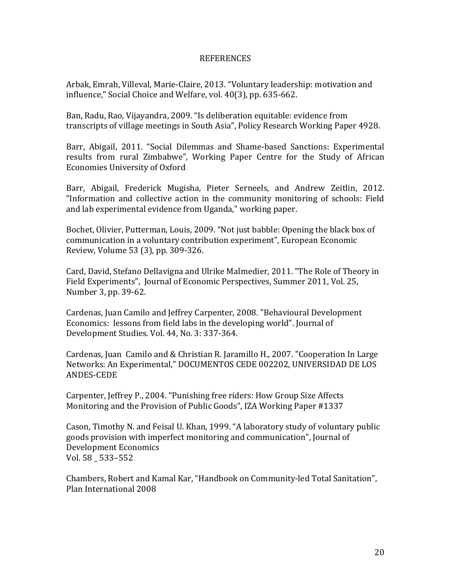#### REFERENCES

Arbak, Emrah, Villeval, Marie-Claire, 2013. "Voluntary leadership: motivation and influence," Social Choice and Welfare, vol. 40(3), pp. 635-662.

Ban, Radu, Rao, Vijayandra, 2009. "Is deliberation equitable: evidence from transcripts of village meetings in South Asia", Policy Research Working Paper 4928.

Barr, Abigail, 2011. "Social Dilemmas and Shame-based Sanctions: Experimental results from rural Zimbabwe", Working Paper Centre for the Study of African Economies University of Oxford

Barr, Abigail, Frederick Mugisha, Pieter Serneels, and Andrew Zeitlin, 2012. "Information and collective action in the community monitoring of schools: Field and lab experimental evidence from Uganda," working paper.

Bochet, Olivier, Putterman, Louis, 2009. "Not just babble: Opening the black box of communication in a voluntary contribution experiment", European Economic Review, Volume 53 (3), pp. 309-326.

Card, David, Stefano Dellavigna and Ulrike Malmedier, 2011. "The Role of Theory in Field Experiments", Journal of Economic Perspectives, Summer 2011, Vol. 25, Number 3, pp. 39-62.

Cardenas, Juan Camilo and Jeffrey Carpenter, 2008. "Behavioural Development Economics: lessons from field labs in the developing world". Journal of Development Studies. Vol. 44, No. 3: 337-364.

Cardenas, Juan Camilo and & Christian R. Jaramillo H., 2007. "Cooperation In Large Networks: An Experimental," DOCUMENTOS CEDE 002202, UNIVERSIDAD DE LOS ANDES-CEDE

Carpenter, Jeffrey P., 2004. "Punishing free riders: How Group Size Affects Monitoring and the Provision of Public Goods", IZA Working Paper #1337

Cason, Timothy N. and Feisal U. Khan, 1999. "A laboratory study of voluntary public goods provision with imperfect monitoring and communication", Journal of Development Economics Vol. 58 533-552

Chambers, Robert and Kamal Kar, "Handbook on Community-led Total Sanitation", Plan International 2008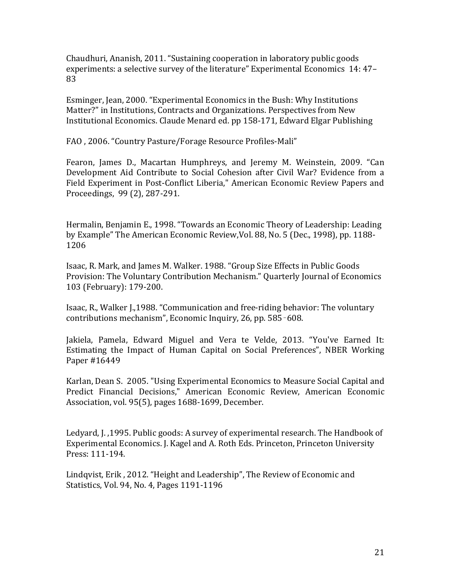Chaudhuri, Ananish, 2011. "Sustaining cooperation in laboratory public goods experiments: a selective survey of the literature" Experimental Economics 14: 47-83

Esminger, Jean, 2000. "Experimental Economics in the Bush: Why Institutions Matter?" in Institutions, Contracts and Organizations. Perspectives from New Institutional Economics. Claude Menard ed. pp 158-171, Edward Elgar Publishing

FAO, 2006. "Country Pasture/Forage Resource Profiles-Mali"

Fearon, James D., Macartan Humphreys, and Jeremy M. Weinstein, 2009. "Can Development Aid Contribute to Social Cohesion after Civil War? Evidence from a Field Experiment in Post-Conflict Liberia," American Economic Review Papers and Proceedings, 99 (2), 287-291.

Hermalin, Benjamin E., 1998. "Towards an Economic Theory of Leadership: Leading by Example" The American Economic Review, Vol. 88, No. 5 (Dec., 1998), pp. 1188-1206

Isaac, R. Mark, and James M. Walker. 1988. "Group Size Effects in Public Goods Provision: The Voluntary Contribution Mechanism." Quarterly Journal of Economics 103 (February): 179-200.

Isaac, R., Walker J.,1988. "Communication and free-riding behavior: The voluntary contributions mechanism", Economic Inquiry, 26, pp. 585-608.

Jakiela, Pamela, Edward Miguel and Vera te Velde, 2013. "You've Earned It: Estimating the Impact of Human Capital on Social Preferences", NBER Working Paper #16449

Karlan, Dean S. 2005. "Using Experimental Economics to Measure Social Capital and Predict Financial Decisions," American Economic Review, American Economic Association, vol. 95(5), pages 1688-1699, December.

Ledyard, J., 1995. Public goods: A survey of experimental research. The Handbook of Experimental Economics. J. Kagel and A. Roth Eds. Princeton, Princeton University Press: 111-194.

Lindqvist, Erik, 2012. "Height and Leadership", The Review of Economic and Statistics, Vol. 94, No. 4, Pages 1191-1196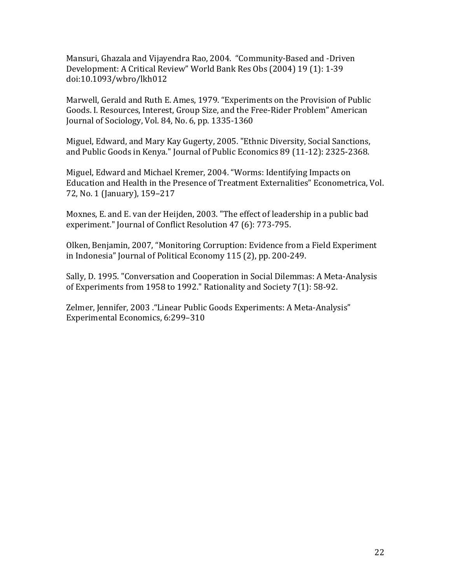Mansuri, Ghazala and Vijayendra Rao, 2004. "Community-Based and -Driven Development: A Critical Review" World Bank Res Obs (2004) 19 (1): 1-39 doi:10.1093/wbro/lkh012

Marwell, Gerald and Ruth E. Ames, 1979. "Experiments on the Provision of Public Goods. I. Resources, Interest, Group Size, and the Free-Rider Problem" American Journal of Sociology, Vol. 84, No. 6, pp. 1335-1360

Miguel, Edward, and Mary Kay Gugerty, 2005. "Ethnic Diversity, Social Sanctions, and Public Goods in Kenya." Journal of Public Economics 89 (11-12): 2325-2368.

Miguel, Edward and Michael Kremer, 2004. "Worms: Identifying Impacts on Education and Health in the Presence of Treatment Externalities" Econometrica, Vol. 72, No. 1 (January), 159-217

Moxnes, E. and E. van der Heijden, 2003. "The effect of leadership in a public bad experiment." Journal of Conflict Resolution 47 (6): 773-795.

Olken, Benjamin, 2007, "Monitoring Corruption: Evidence from a Field Experiment in Indonesia" Journal of Political Economy 115 (2), pp. 200-249.

Sally, D. 1995. "Conversation and Cooperation in Social Dilemmas: A Meta-Analysis of Experiments from 1958 to 1992." Rationality and Society  $7(1)$ : 58-92.

Zelmer, Jennifer, 2003 . "Linear Public Goods Experiments: A Meta-Analysis" Experimental Economics, 6:299-310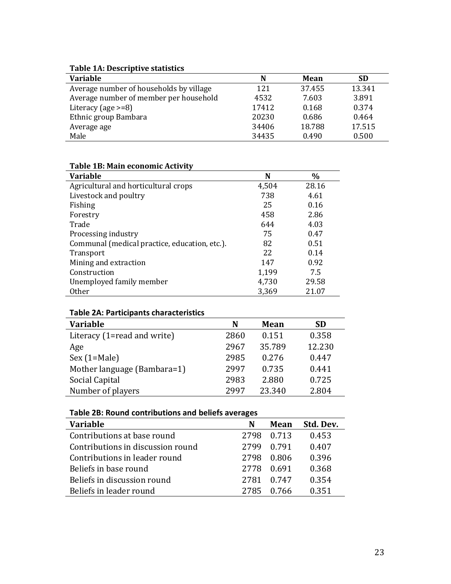#### **Table 1A: Descriptive statistics**

| <b>Variable</b>                         | N     | Mean   | <b>SD</b> |
|-----------------------------------------|-------|--------|-----------|
| Average number of households by village | 121   | 37.455 | 13.341    |
| Average number of member per household  | 4532  | 7.603  | 3.891     |
| Literacy (age $>=8$ )                   | 17412 | 0.168  | 0.374     |
| Ethnic group Bambara                    | 20230 | 0.686  | 0.464     |
| Average age                             | 34406 | 18.788 | 17.515    |
| Male                                    | 34435 | 0.490  | 0.500     |

| Table TB: Maill economic Activity             |       |       |
|-----------------------------------------------|-------|-------|
| <b>Variable</b>                               | N     | $\%$  |
| Agricultural and horticultural crops          | 4,504 | 28.16 |
| Livestock and poultry                         | 738   | 4.61  |
| Fishing                                       | 25    | 0.16  |
| Forestry                                      | 458   | 2.86  |
| Trade                                         | 644   | 4.03  |
| Processing industry                           | 75    | 0.47  |
| Communal (medical practice, education, etc.). | 82    | 0.51  |
| Transport                                     | 22    | 0.14  |
| Mining and extraction                         | 147   | 0.92  |
| Construction                                  | 1,199 | 7.5   |
| Unemployed family member                      | 4,730 | 29.58 |
| <b>Other</b>                                  | 3,369 | 21.07 |

# **Table 1B: Main economic Activity**

# **Table 2A: Participants characteristics**

| Table EAT Latterpants characteristics |      |        |           |
|---------------------------------------|------|--------|-----------|
| Variable                              | N    | Mean   | <b>SD</b> |
| Literacy (1=read and write)           | 2860 | 0.151  | 0.358     |
| Age                                   | 2967 | 35.789 | 12.230    |
| $Sex (1 = Male)$                      | 2985 | 0.276  | 0.447     |
| Mother language (Bambara=1)           | 2997 | 0.735  | 0.441     |
| Social Capital                        | 2983 | 2.880  | 0.725     |
| Number of players                     | 2997 | 23.340 | 2.804     |

# **Table 2B: Round contributions and beliefs averages**

| <b>Variable</b>                   | N    | Mean       | Std. Dev. |
|-----------------------------------|------|------------|-----------|
| Contributions at base round       |      | 2798 0.713 | 0.453     |
| Contributions in discussion round | 2799 | 0.791      | 0.407     |
| Contributions in leader round     | 2798 | -0.806     | 0.396     |
| Beliefs in base round             | 2778 | 0.691      | 0.368     |
| Beliefs in discussion round       | 2781 | 0.747      | 0.354     |
| Beliefs in leader round           | 2785 | በ 766      | 0 351     |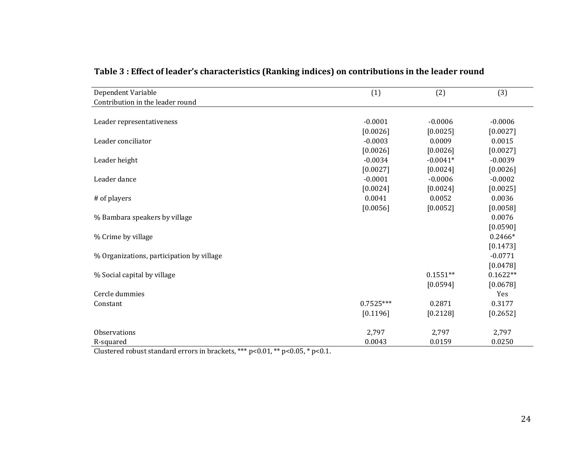| Dependent Variable                        | (1)         | (2)        | (3)        |
|-------------------------------------------|-------------|------------|------------|
| Contribution in the leader round          |             |            |            |
|                                           |             |            |            |
| Leader representativeness                 | $-0.0001$   | $-0.0006$  | $-0.0006$  |
|                                           | [0.0026]    | [0.0025]   | [0.0027]   |
| Leader conciliator                        | $-0.0003$   | 0.0009     | 0.0015     |
|                                           | [0.0026]    | [0.0026]   | [0.0027]   |
| Leader height                             | $-0.0034$   | $-0.0041*$ | $-0.0039$  |
|                                           | [0.0027]    | [0.0024]   | [0.0026]   |
| Leader dance                              | $-0.0001$   | $-0.0006$  | $-0.0002$  |
|                                           | [0.0024]    | [0.0024]   | [0.0025]   |
| # of players                              | 0.0041      | 0.0052     | 0.0036     |
|                                           | [0.0056]    | [0.0052]   | [0.0058]   |
| % Bambara speakers by village             |             |            | 0.0076     |
|                                           |             |            | [0.0590]   |
| % Crime by village                        |             |            | $0.2466*$  |
|                                           |             |            | [0.1473]   |
| % Organizations, participation by village |             |            | $-0.0771$  |
|                                           |             |            | [0.0478]   |
| % Social capital by village               |             | $0.1551**$ | $0.1622**$ |
|                                           |             | [0.0594]   | [0.0678]   |
| Cercle dummies                            |             |            | Yes        |
| Constant                                  | $0.7525***$ | 0.2871     | 0.3177     |
|                                           | [0.1196]    | [0.2128]   | [0.2652]   |
| Observations                              | 2,797       | 2,797      | 2,797      |
| R-squared                                 | 0.0043      | 0.0159     | 0.0250     |

Table 3 : Effect of leader's characteristics (Ranking indices) on contributions in the leader round

Clustered robust standard errors in brackets, \*\*\*  $p$  < 0.01, \*\*  $p$  < 0.05, \*  $p$  < 0.1.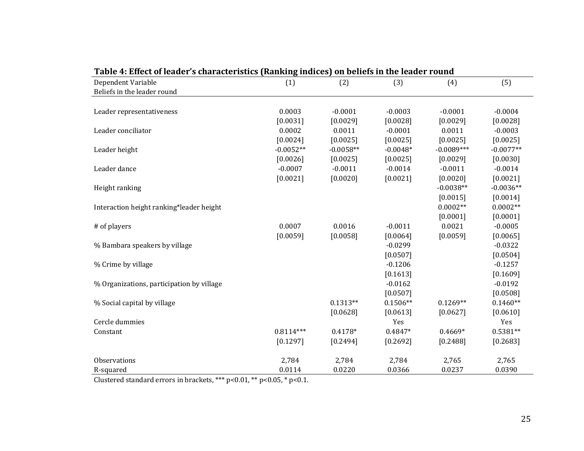| Table 4: Effect of leader's characteristics (Rahking Indices) on beliefs in the leader round |             |             |            |              |             |
|----------------------------------------------------------------------------------------------|-------------|-------------|------------|--------------|-------------|
| Dependent Variable                                                                           | (1)         | (2)         | (3)        | (4)          | (5)         |
| Beliefs in the leader round                                                                  |             |             |            |              |             |
|                                                                                              |             |             |            |              |             |
| Leader representativeness                                                                    | 0.0003      | $-0.0001$   | $-0.0003$  | $-0.0001$    | $-0.0004$   |
|                                                                                              | [0.0031]    | [0.0029]    | [0.0028]   | [0.0029]     | [0.0028]    |
| Leader conciliator                                                                           | 0.0002      | 0.0011      | $-0.0001$  | 0.0011       | $-0.0003$   |
|                                                                                              | [0.0024]    | [0.0025]    | [0.0025]   | [0.0025]     | [0.0025]    |
| Leader height                                                                                | $-0.0052**$ | $-0.0058**$ | $-0.0048*$ | $-0.0089***$ | $-0.0077**$ |
|                                                                                              | [0.0026]    | [0.0025]    | [0.0025]   | [0.0029]     | [0.0030]    |
| Leader dance                                                                                 | $-0.0007$   | $-0.0011$   | $-0.0014$  | $-0.0011$    | $-0.0014$   |
|                                                                                              | [0.0021]    | [0.0020]    | [0.0021]   | [0.0020]     | [0.0021]    |
| Height ranking                                                                               |             |             |            | $-0.0038**$  | $-0.0036**$ |
|                                                                                              |             |             |            | [0.0015]     | [0.0014]    |
| Interaction height ranking*leader height                                                     |             |             |            | $0.0002**$   | $0.0002**$  |
|                                                                                              |             |             |            | [0.0001]     | [0.0001]    |
| # of players                                                                                 | 0.0007      | 0.0016      | $-0.0011$  | 0.0021       | $-0.0005$   |
|                                                                                              | [0.0059]    | [0.0058]    | [0.0064]   | [0.0059]     | [0.0065]    |
| % Bambara speakers by village                                                                |             |             | $-0.0299$  |              | $-0.0322$   |
|                                                                                              |             |             | [0.0507]   |              | [0.0504]    |
| % Crime by village                                                                           |             |             | $-0.1206$  |              | $-0.1257$   |
|                                                                                              |             |             | [0.1613]   |              | [0.1609]    |
| % Organizations, participation by village                                                    |             |             | $-0.0162$  |              | $-0.0192$   |
|                                                                                              |             |             | [0.0507]   |              | [0.0508]    |
| % Social capital by village                                                                  |             | $0.1313**$  | $0.1506**$ | $0.1269**$   | $0.1460**$  |
|                                                                                              |             | [0.0628]    | [0.0613]   | [0.0627]     | [0.0610]    |
| Cercle dummies                                                                               |             |             | Yes        |              | Yes         |
| Constant                                                                                     | $0.8114***$ | $0.4178*$   | 0.4847*    | $0.4669*$    | $0.5381**$  |
|                                                                                              | [0.1297]    | [0.2494]    | [0.2692]   | [0.2488]     | [0.2683]    |
|                                                                                              |             |             |            |              |             |
| Observations                                                                                 | 2,784       | 2,784       | 2,784      | 2,765        | 2,765       |
| R-squared                                                                                    | 0.0114      | 0.0220      | 0.0366     | 0.0237       | 0.0390      |

#### **Table 4:** Effect of leader's characteristics (Papking indices) on beliefs in the leader round

Clustered standard errors in brackets, \*\*\*  $p$ <0.01, \*\*  $p$ <0.05, \*  $p$ <0.1.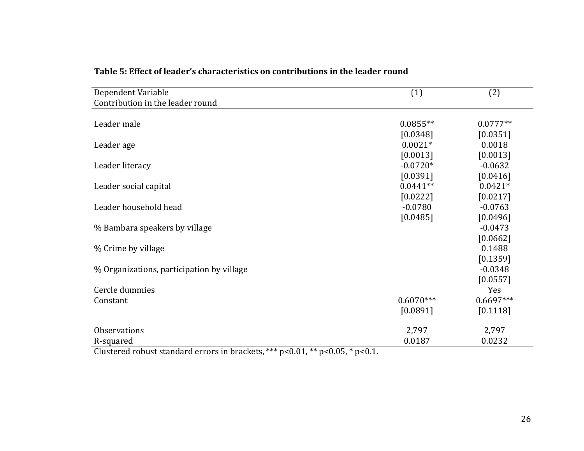| Dependent Variable                                                              | (1)         | (2)         |
|---------------------------------------------------------------------------------|-------------|-------------|
| Contribution in the leader round                                                |             |             |
|                                                                                 |             |             |
| Leader male                                                                     | $0.0855**$  | $0.0777**$  |
|                                                                                 | [0.0348]    | [0.0351]    |
| Leader age                                                                      | $0.0021*$   | 0.0018      |
|                                                                                 | [0.0013]    | [0.0013]    |
| Leader literacy                                                                 | $-0.0720*$  | $-0.0632$   |
|                                                                                 | [0.0391]    | [0.0416]    |
| Leader social capital                                                           | $0.0441**$  | $0.0421*$   |
|                                                                                 | [0.0222]    | [0.0217]    |
| Leader household head                                                           | $-0.0780$   | $-0.0763$   |
|                                                                                 | [0.0485]    | [0.0496]    |
| % Bambara speakers by village                                                   |             | $-0.0473$   |
|                                                                                 |             | [0.0662]    |
| % Crime by village                                                              |             | 0.1488      |
|                                                                                 |             | [0.1359]    |
| % Organizations, participation by village                                       |             | $-0.0348$   |
|                                                                                 |             | [0.0557]    |
| Cercle dummies                                                                  |             | Yes         |
| Constant                                                                        | $0.6070***$ | $0.6697***$ |
|                                                                                 | [0.0891]    | [0.1118]    |
| <b>Observations</b>                                                             | 2,797       | 2,797       |
| R-squared                                                                       | 0.0187      | 0.0232      |
| Clustered repurt standard errors in breakste $***$ p<0.01 $**$ p<0.05 $*$ p<0.1 |             |             |

## Table 5: Effect of leader's characteristics on contributions in the leader round

Clustered robust standard errors in brackets,  $***$  p<0.01,  $**$  p<0.05,  $*$  p<0.1.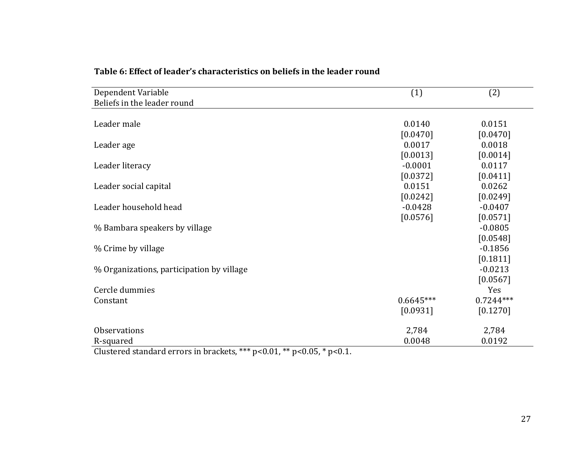| Dependent Variable                        | (1)         | (2)         |
|-------------------------------------------|-------------|-------------|
| Beliefs in the leader round               |             |             |
|                                           |             |             |
| Leader male                               | 0.0140      | 0.0151      |
|                                           | [0.0470]    | [0.0470]    |
| Leader age                                | 0.0017      | 0.0018      |
|                                           | [0.0013]    | [0.0014]    |
| Leader literacy                           | $-0.0001$   | 0.0117      |
|                                           | [0.0372]    | [0.0411]    |
| Leader social capital                     | 0.0151      | 0.0262      |
|                                           | [0.0242]    | [0.0249]    |
| Leader household head                     | $-0.0428$   | $-0.0407$   |
|                                           | [0.0576]    | [0.0571]    |
| % Bambara speakers by village             |             | $-0.0805$   |
|                                           |             | [0.0548]    |
| % Crime by village                        |             | $-0.1856$   |
|                                           |             | [0.1811]    |
| % Organizations, participation by village |             | $-0.0213$   |
|                                           |             | [0.0567]    |
| Cercle dummies                            |             | Yes         |
| Constant                                  | $0.6645***$ | $0.7244***$ |
|                                           | [0.0931]    | [0.1270]    |
| <b>Observations</b>                       | 2,784       | 2,784       |
| R-squared                                 | 0.0048      | 0.0192      |

# Table 6: Effect of leader's characteristics on beliefs in the leader round

Clustered standard errors in brackets, \*\*\*  $p$ <0.01, \*\*  $p$ <0.05, \*  $p$ <0.1.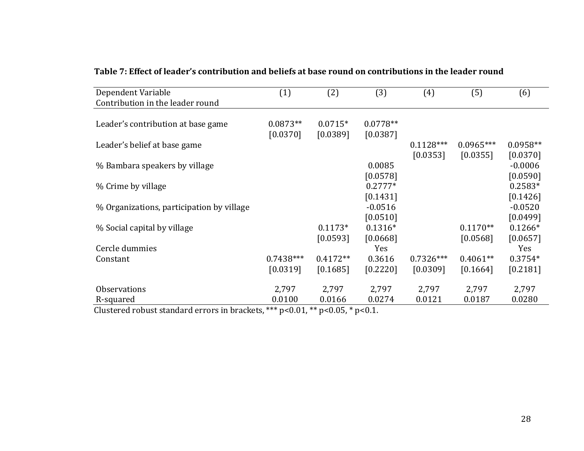| Dependent Variable                                             | (1)         | (2)        | (3)        | (4)         | (5)         | (6)        |
|----------------------------------------------------------------|-------------|------------|------------|-------------|-------------|------------|
| Contribution in the leader round                               |             |            |            |             |             |            |
|                                                                |             |            |            |             |             |            |
| Leader's contribution at base game                             | $0.0873**$  | $0.0715*$  | $0.0778**$ |             |             |            |
|                                                                | [0.0370]    | [0.0389]   | [0.0387]   |             |             |            |
| Leader's belief at base game                                   |             |            |            | $0.1128***$ | $0.0965***$ | $0.0958**$ |
|                                                                |             |            |            | [0.0353]    | [0.0355]    | [0.0370]   |
| % Bambara speakers by village                                  |             |            | 0.0085     |             |             | $-0.0006$  |
|                                                                |             |            | [0.0578]   |             |             | [0.0590]   |
| % Crime by village                                             |             |            | $0.2777*$  |             |             | $0.2583*$  |
|                                                                |             |            | [0.1431]   |             |             | [0.1426]   |
| % Organizations, participation by village                      |             |            | $-0.0516$  |             |             | $-0.0520$  |
|                                                                |             |            | [0.0510]   |             |             | [0.0499]   |
| % Social capital by village                                    |             | $0.1173*$  | $0.1316*$  |             | $0.1170**$  | $0.1266*$  |
|                                                                |             | [0.0593]   | [0.0668]   |             | [0.0568]    | [0.0657]   |
| Cercle dummies                                                 |             |            | Yes        |             |             | <b>Yes</b> |
| Constant                                                       | $0.7438***$ | $0.4172**$ | 0.3616     | $0.7326***$ | $0.4061**$  | $0.3754*$  |
|                                                                | [0.0319]    | [0.1685]   | [0.2220]   | [0.0309]    | [0.1664]    | [0.2181]   |
|                                                                |             |            |            |             |             |            |
| <b>Observations</b>                                            | 2,797       | 2,797      | 2,797      | 2,797       | 2,797       | 2,797      |
| R-squared<br>$\mathbf{1}$ $\mathbf{1}$<br>$\sim$ $\sim$ $\sim$ | 0.0100      | 0.0166     | 0.0274     | 0.0121      | 0.0187      | 0.0280     |

## Table 7: Effect of leader's contribution and beliefs at base round on contributions in the leader round

Clustered robust standard errors in brackets, \*\*\*  $p$ <0.01, \*\*  $p$ <0.05, \*  $p$ <0.1.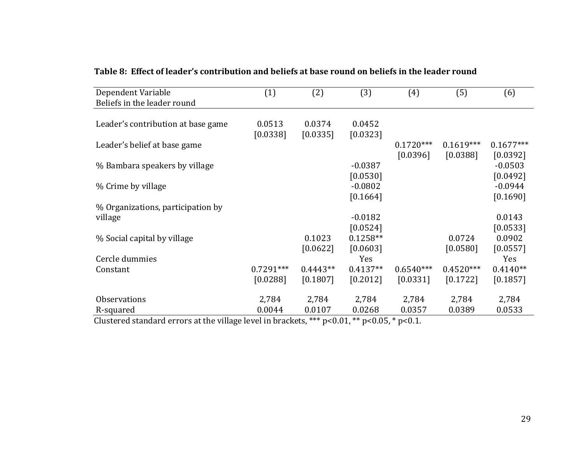| Dependent Variable                 | (1)         | (2)        | (3)        | (4)         | (5)         | (6)         |
|------------------------------------|-------------|------------|------------|-------------|-------------|-------------|
| Beliefs in the leader round        |             |            |            |             |             |             |
|                                    |             |            |            |             |             |             |
| Leader's contribution at base game | 0.0513      | 0.0374     | 0.0452     |             |             |             |
|                                    | [0.0338]    | [0.0335]   | [0.0323]   |             |             |             |
| Leader's belief at base game       |             |            |            | $0.1720***$ | $0.1619***$ | $0.1677***$ |
|                                    |             |            |            | [0.0396]    | [0.0388]    | [0.0392]    |
| % Bambara speakers by village      |             |            | $-0.0387$  |             |             | $-0.0503$   |
|                                    |             |            | [0.0530]   |             |             | [0.0492]    |
| % Crime by village                 |             |            | $-0.0802$  |             |             | $-0.0944$   |
|                                    |             |            | [0.1664]   |             |             | [0.1690]    |
| % Organizations, participation by  |             |            |            |             |             |             |
| village                            |             |            | $-0.0182$  |             |             | 0.0143      |
|                                    |             |            | [0.0524]   |             |             | [0.0533]    |
| % Social capital by village        |             | 0.1023     | $0.1258**$ |             | 0.0724      | 0.0902      |
|                                    |             | [0.0622]   | [0.0603]   |             | [0.0580]    | [0.0557]    |
| Cercle dummies                     |             |            | Yes        |             |             | Yes         |
| Constant                           | $0.7291***$ | $0.4443**$ | $0.4137**$ | $0.6540***$ | $0.4520***$ | $0.4140**$  |
|                                    | [0.0288]    | [0.1807]   | [0.2012]   | [0.0331]    | [0.1722]    | [0.1857]    |
|                                    |             |            |            |             |             |             |
| <b>Observations</b>                | 2,784       | 2,784      | 2,784      | 2,784       | 2,784       | 2,784       |
| R-squared                          | 0.0044      | 0.0107     | 0.0268     | 0.0357      | 0.0389      | 0.0533      |

Table 8: Effect of leader's contribution and beliefs at base round on beliefs in the leader round

Clustered standard errors at the village level in brackets, \*\*\*  $p<0.01$ , \*\*  $p<0.05$ , \*  $p<0.1$ .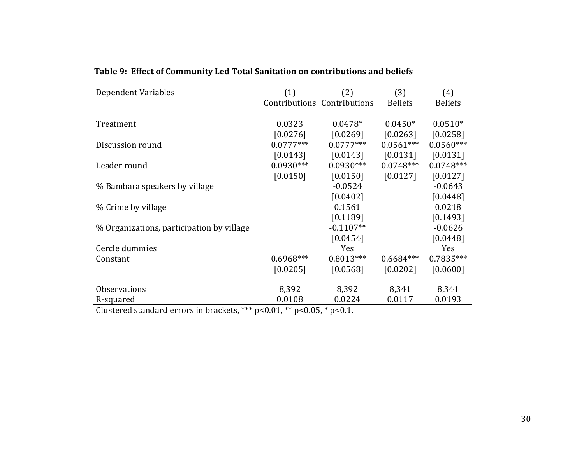| Dependent Variables                       | (1)         | (2)                         | (3)            | (4)            |
|-------------------------------------------|-------------|-----------------------------|----------------|----------------|
|                                           |             | Contributions Contributions | <b>Beliefs</b> | <b>Beliefs</b> |
|                                           |             |                             |                |                |
| Treatment                                 | 0.0323      | $0.0478*$                   | $0.0450*$      | $0.0510*$      |
|                                           | [0.0276]    | [0.0269]                    | [0.0263]       | [0.0258]       |
| Discussion round                          | $0.0777***$ | $0.0777***$                 | $0.0561***$    | $0.0560***$    |
|                                           | [0.0143]    | [0.0143]                    | [0.0131]       | [0.0131]       |
| Leader round                              | $0.0930***$ | $0.0930***$                 | $0.0748***$    | $0.0748***$    |
|                                           | [0.0150]    | [0.0150]                    | [0.0127]       | [0.0127]       |
| % Bambara speakers by village             |             | $-0.0524$                   |                | $-0.0643$      |
|                                           |             | [0.0402]                    |                | [0.0448]       |
| % Crime by village                        |             | 0.1561                      |                | 0.0218         |
|                                           |             | [0.1189]                    |                | [0.1493]       |
| % Organizations, participation by village |             | $-0.1107**$                 |                | $-0.0626$      |
|                                           |             | [0.0454]                    |                | [0.0448]       |
| Cercle dummies                            |             | Yes                         |                | Yes            |
| Constant                                  | $0.6968***$ | $0.8013***$                 | $0.6684***$    | $0.7835***$    |
|                                           | [0.0205]    | [0.0568]                    | [0.0202]       | [0.0600]       |
|                                           |             |                             |                |                |
| <b>Observations</b>                       | 8,392       | 8,392                       | 8,341          | 8,341          |
| R-squared                                 | 0.0108      | 0.0224                      | 0.0117         | 0.0193         |

Table 9: Effect of Community Led Total Sanitation on contributions and beliefs

Clustered standard errors in brackets, \*\*\*  $p$ <0.01, \*\*  $p$ <0.05, \*  $p$ <0.1.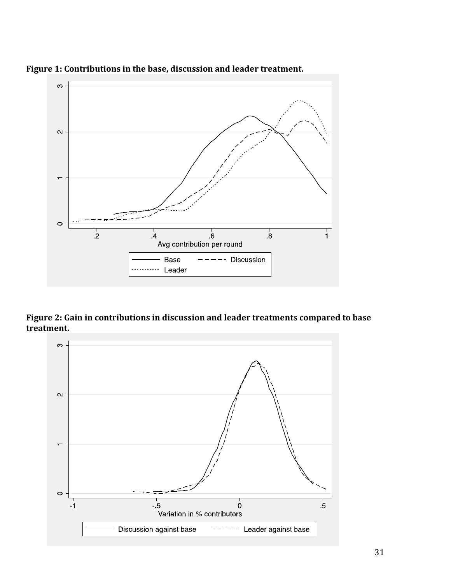

Figure 1: Contributions in the base, discussion and leader treatment.

Figure 2: Gain in contributions in discussion and leader treatments compared to base **treatment.**

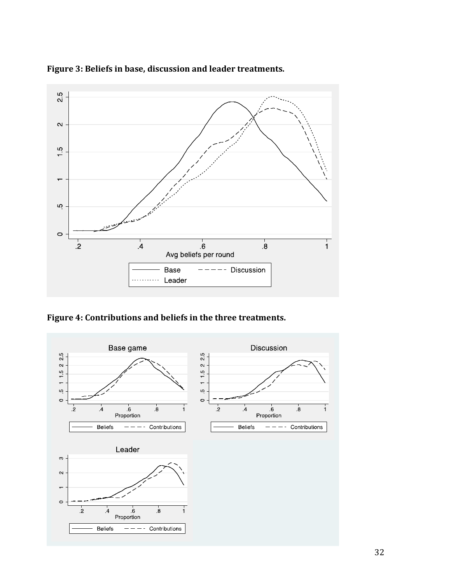

Figure 3: Beliefs in base, discussion and leader treatments.

Figure 4: Contributions and beliefs in the three treatments.

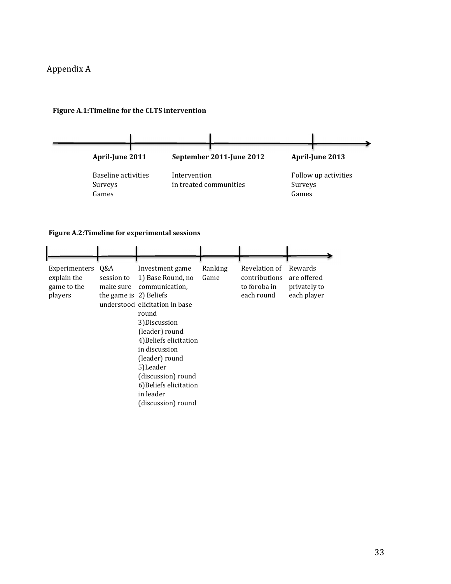#### Appendix A



#### **Figure A.1:Timeline for the CLTS intervention**

#### **Figure A.2:Timeline for experimental sessions**